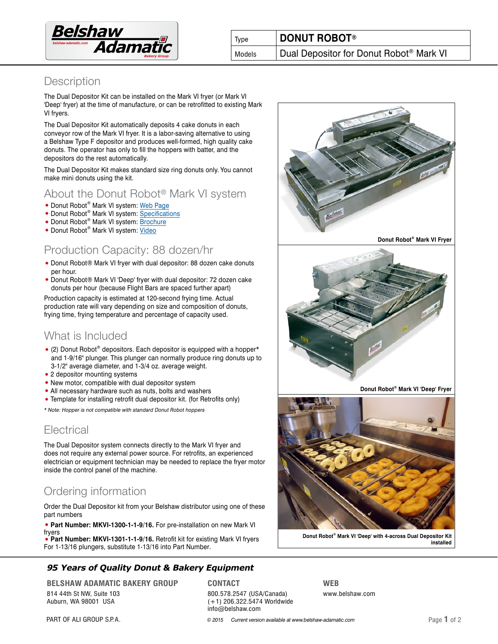

## **Description**

The Dual Depositor Kit can be installed on the Mark VI fryer (or Mark VI 'Deep' fryer) at the time of manufacture, or can be retrofitted to existing Mark VI fryers.

The Dual Depositor Kit automatically deposits 4 cake donuts in each conveyor row of the Mark VI fryer. It is a labor-saving alternative to using a Belshaw Type F depositor and produces well-formed, high quality cake donuts. The operator has only to fill the hoppers with batter, and the depositors do the rest automatically.

The Dual Depositor Kit makes standard size ring donuts only. You cannot make mini donuts using the kit.

# About the Donut Robot® Mark VI system

- Donut Robot® Mark VI system: [Web Page](http://www.belshaw-adamatic.com/catalog/retail-equipment/donut-machines---donut-robotreg/donut-robot-mark-vi-automatic-donut-machine-designed-as-part-of-a-standard-mark-vi-donut-system-capacity-112-dozenhour)
- Donut Robot<sup>®</sup> Mark VI system: [Specifications](http://www.belshaw-adamatic.com/uploads/pdf/belshaw-adamatic-donut-robot-mark-6-system.pdf)
- Donut Robot<sup>®</sup> Mark VI system: **Brochure**
- Donut Robot® Mark VI system: [Video](https://vimeo.com/belshaw/mark6)

## Production Capacity: 88 dozen/hr

- Donut Robot® Mark VI fryer with dual depositor: 88 dozen cake donuts per hour.
- Donut Robot® Mark VI 'Deep' fryer with dual depositor: 72 dozen cake donuts per hour (because Flight Bars are spaced further apart)

Production capacity is estimated at 120-second frying time. Actual production rate will vary depending on size and composition of donuts, frying time, frying temperature and percentage of capacity used.

# What is Included

- (2) Donut Robot® depositors. Each depositor is equipped with a hopper\* and 1-9/16" plunger. This plunger can normally produce ring donuts up to 3-1/2" average diameter, and 1-3/4 oz. average weight.
- 2 depositor mounting systems
- New motor, compatible with dual depositor system
- All necessary hardware such as nuts, bolts and washers
- Template for installing retrofit dual depositor kit. (for Retrofits only)

\* Note: Hopper is not compatible with standard Donut Robot hoppers

# **Electrical**

The Dual Depositor system connects directly to the Mark VI fryer and does not require any external power source. For retrofits, an experienced electrician or equipment technician may be needed to replace the fryer motor inside the control panel of the machine.

# Ordering information

Order the Dual Depositor kit from your Belshaw distributor using one of these part numbers

• **Part Number: MKVI-1300-1-1-9/16.** For pre-installation on new Mark VI fryers

• **Part Number: MKVI-1301-1-1-9/16.** Retrofit kit for existing Mark VI fryers For 1-13/16 plungers, substitute 1-13/16 into Part Number.

## **9***5* **Years of Quality Donut & Bakery Equipment**

**BELSHAW ADAMATIC BAKERY GROUP** 814 44th St NW, Suite 103 Auburn, WA 98001 USA

#### **CONTACT**

800.578.2547 (USA/Canada) (+1) 206.322.5474 Worldwide info@belshaw.com



**installed**

[PART OF ALI GROUP S.P.A.](http://aligroup.com) **Example 2015** Current version available at www.belshaw-adamatic.com **Page 1** of 2

**WEB**

www.belshaw.com

**Donut Robot® Mark VI 'Deep' with 4-across Dual Depositor Kit**